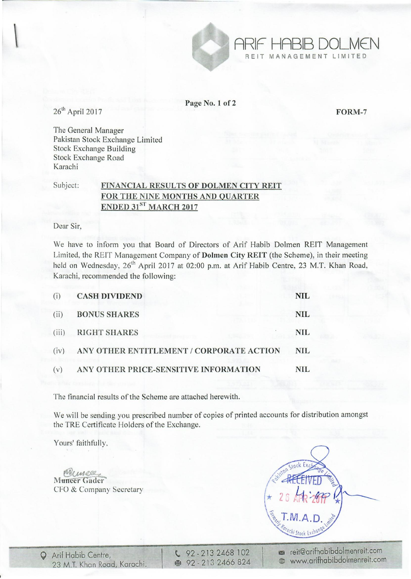

Page No.1 of 2

FORM-7

ARIF HABIB DOLM€N

REIT MANAGEMENT LIMITED

 $26<sup>th</sup>$  April 2017

The General Manager Pakistan Stock Exchange Limited Stock Exchange Building Stock Exchange Road Karachi

## Subject: FINANCIAL RESULTS OF DOLMEN CITY REIT FOR THE NINE MONTHS AND QUARTER ENDED 31<sup>ST</sup> MARCH 2017

Dear Sir,

We have to inform you that Board of Directors of Arif Habib Dolmen REIT Management Limited, the REIT Management Company of Dolmen City REIT (the Scheme), in their meeting held on Wednesday, 26<sup>th</sup> April 2017 at 02:00 p.m. at Arif Habib Centre, 23 M.T. Khan Road, Karachi, recommended the following:

| (i)   | <b>CASH DIVIDEND</b>                     | NIL.       |
|-------|------------------------------------------|------------|
| (ii)  | <b>BONUS SHARES</b>                      | <b>NIL</b> |
| (iii) | <b>RIGHT SHARES</b>                      | <b>NIL</b> |
| (iv)  | ANY OTHER ENTITLEMENT / CORPORATE ACTION | <b>NIL</b> |
| (v)   | ANY OTHER PRICE-SENSITIVE INFORMATION    | NIL.       |

The financial results of the Scheme are attached herewith.

We will be sending you prescribed number of copies of printed accounts for distribution amongst the TRE Certificate Holders of the Exchange.

Yours' faithfully.

Muneer<br>Muneer Gader CFO & Company Secretary

 $\sqrt{92 - 2132468102}$ ~ 92 - 21 3 2466 824 in reit@arifhabibdolmenreit.com @ www.arifhabibdolmenreit.com